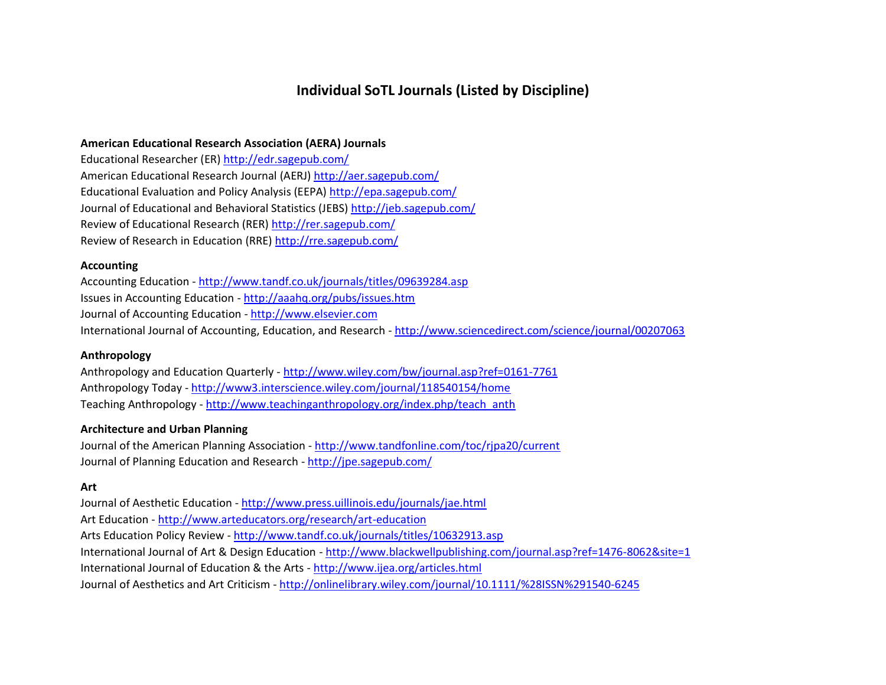# **Individual SoTL Journals (Listed by Discipline)**

#### **American Educational Research Association (AERA) Journals**

Educational Researcher (ER) <http://edr.sagepub.com/> American Educational Research Journal (AERJ) <http://aer.sagepub.com/> Educational Evaluation and Policy Analysis (EEPA) <http://epa.sagepub.com/> Journal of Educational and Behavioral Statistics (JEBS) <http://jeb.sagepub.com/> Review of Educational Research (RER) <http://rer.sagepub.com/> Review of Research in Education (RRE) <http://rre.sagepub.com/>

#### **Accounting**

Accounting Education - <http://www.tandf.co.uk/journals/titles/09639284.asp> Issues in Accounting Education - <http://aaahq.org/pubs/issues.htm> Journal of Accounting Education - [http://www.elsevier.com](http://www.elsevier.com/wps/find/journaldescription.cws_home/840/description#description) International Journal of Accounting, Education, and Research - <http://www.sciencedirect.com/science/journal/00207063>

#### **Anthropology**

Anthropology and Education Quarterly - <http://www.wiley.com/bw/journal.asp?ref=0161-7761> Anthropology Today - <http://www3.interscience.wiley.com/journal/118540154/home> Teaching Anthropology - [http://www.teachinganthropology.org/index.php/teach\\_anth](http://www.teachinganthropology.org/index.php/teach_anth)

## **Architecture and Urban Planning**

Journal of the American Planning Association - <http://www.tandfonline.com/toc/rjpa20/current> Journal of Planning Education and Research - <http://jpe.sagepub.com/>

#### **Art**

Journal of Aesthetic Education - <http://www.press.uillinois.edu/journals/jae.html> Art Education - <http://www.arteducators.org/research/art-education> Arts Education Policy Review - <http://www.tandf.co.uk/journals/titles/10632913.asp> International Journal of Art & Design Education - <http://www.blackwellpublishing.com/journal.asp?ref=1476-8062&site=1> International Journal of Education & the Arts - <http://www.ijea.org/articles.html> Journal of Aesthetics and Art Criticism - <http://onlinelibrary.wiley.com/journal/10.1111/%28ISSN%291540-6245>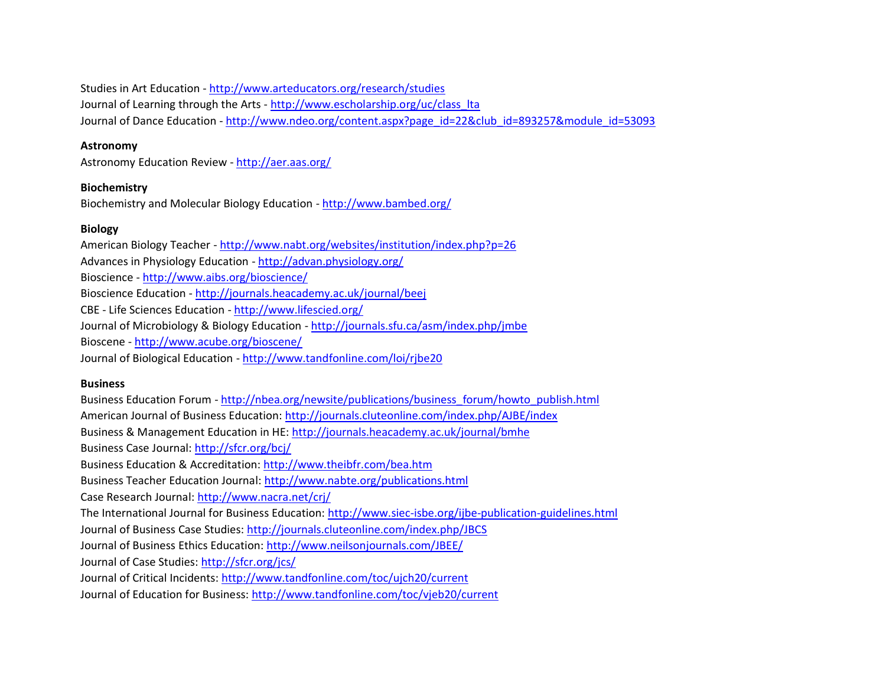Studies in Art Education - <http://www.arteducators.org/research/studies> Journal of Learning through the Arts - [http://www.escholarship.org/uc/class\\_lta](http://www.escholarship.org/uc/class_lta) Journal of Dance Education - [http://www.ndeo.org/content.aspx?page\\_id=22&club\\_id=893257&module\\_id=53093](http://www.ndeo.org/content.aspx?page_id=22&club_id=893257&module_id=53093)

#### **Astronomy**

Astronomy Education Review - <http://aer.aas.org/>

## **Biochemistry**

Biochemistry and Molecular Biology Education - <http://www.bambed.org/>

## **Biology**

American Biology Teacher - <http://www.nabt.org/websites/institution/index.php?p=26> Advances in Physiology Education - <http://advan.physiology.org/> Bioscience - <http://www.aibs.org/bioscience/> Bioscience Education - <http://journals.heacademy.ac.uk/journal/beej> CBE - Life Sciences Education - <http://www.lifescied.org/> Journal of Microbiology & Biology Education - <http://journals.sfu.ca/asm/index.php/jmbe> Bioscene - <http://www.acube.org/bioscene/> Journal of Biological Education - <http://www.tandfonline.com/loi/rjbe20>

## **Business**

Business Education Forum - [http://nbea.org/newsite/publications/business\\_forum/howto\\_publish.html](http://nbea.org/newsite/publications/business_forum/howto_publish.html) American Journal of Business Education: <http://journals.cluteonline.com/index.php/AJBE/index> Business & Management Education in HE: <http://journals.heacademy.ac.uk/journal/bmhe> Business Case Journal: <http://sfcr.org/bcj/> Business Education & Accreditation: <http://www.theibfr.com/bea.htm> Business Teacher Education Journal: <http://www.nabte.org/publications.html> Case Research Journal: <http://www.nacra.net/crj/> The International Journal for Business Education: <http://www.siec-isbe.org/ijbe-publication-guidelines.html> Journal of Business Case Studies: <http://journals.cluteonline.com/index.php/JBCS> Journal of Business Ethics Education: <http://www.neilsonjournals.com/JBEE/> Journal of Case Studies: <http://sfcr.org/jcs/> Journal of Critical Incidents: <http://www.tandfonline.com/toc/ujch20/current> Journal of Education for Business: <http://www.tandfonline.com/toc/vjeb20/current>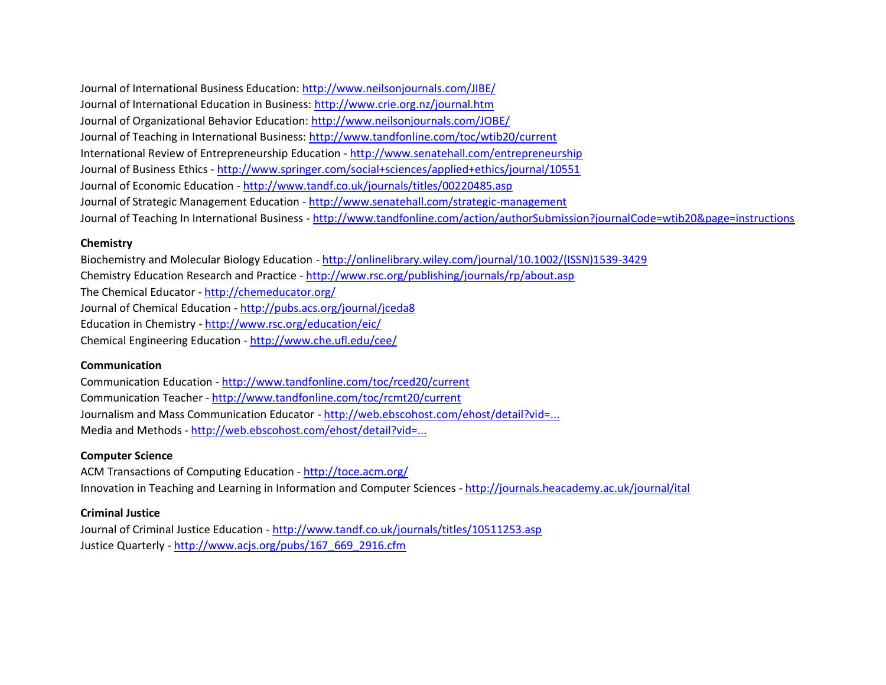Journal of International Business Education: <http://www.neilsonjournals.com/JIBE/> Journal of International Education in Business: <http://www.crie.org.nz/journal.htm> Journal of Organizational Behavior Education: <http://www.neilsonjournals.com/JOBE/> Journal of Teaching in International Business: <http://www.tandfonline.com/toc/wtib20/current> International Review of Entrepreneurship Education - <http://www.senatehall.com/entrepreneurship> Journal of Business Ethics - <http://www.springer.com/social+sciences/applied+ethics/journal/10551> Journal of Economic Education - <http://www.tandf.co.uk/journals/titles/00220485.asp> Journal of Strategic Management Education - <http://www.senatehall.com/strategic-management> Journal of Teaching In International Business - <http://www.tandfonline.com/action/authorSubmission?journalCode=wtib20&page=instructions>

## **Chemistry**

Biochemistry and Molecular Biology Education - [http://onlinelibrary.wiley.com/journal/10.1002/\(ISSN\)1539-3429](http://onlinelibrary.wiley.com/journal/10.1002/(ISSN)1539-3429) Chemistry Education Research and Practice - <http://www.rsc.org/publishing/journals/rp/about.asp> The Chemical Educator - <http://chemeducator.org/> Journal of Chemical Education - <http://pubs.acs.org/journal/jceda8> Education in Chemistry - <http://www.rsc.org/education/eic/> Chemical Engineering Education - <http://www.che.ufl.edu/cee/>

## **Communication**

Communication Education - <http://www.tandfonline.com/toc/rced20/current> Communication Teacher - <http://www.tandfonline.com/toc/rcmt20/current> Journalism and Mass Communication Educator - [http://web.ebscohost.com/ehost/detail?vid=...](http://web.ebscohost.com/ehost/detail?vid=1&hid=111&sid=a4ed3b50-8ebc-4213-bb1d-c25c9c365215%40sessionmgr111&bdata=JnNpdGU9ZWhvc3QtbGl2ZQ%3d%3d#db=ufh&jid=EUA) Media and Methods - [http://web.ebscohost.com/ehost/detail?vid=...](http://web.ebscohost.com/ehost/detail?vid=1&hid=111&sid=17803851-3fc8-403c-96a7-3d3c95451e01%40sessionmgr110&bdata=JnNpdGU9ZWhvc3QtbGl2ZQ%3d%3d#db=aph&jid=MEM)

## **Computer Science**

ACM Transactions of Computing Education - <http://toce.acm.org/> Innovation in Teaching and Learning in Information and Computer Sciences - <http://journals.heacademy.ac.uk/journal/ital>

## **Criminal Justice**

Journal of Criminal Justice Education - <http://www.tandf.co.uk/journals/titles/10511253.asp> Justice Quarterly - [http://www.acjs.org/pubs/167\\_669\\_2916.cfm](http://www.acjs.org/pubs/167_669_2916.cfm)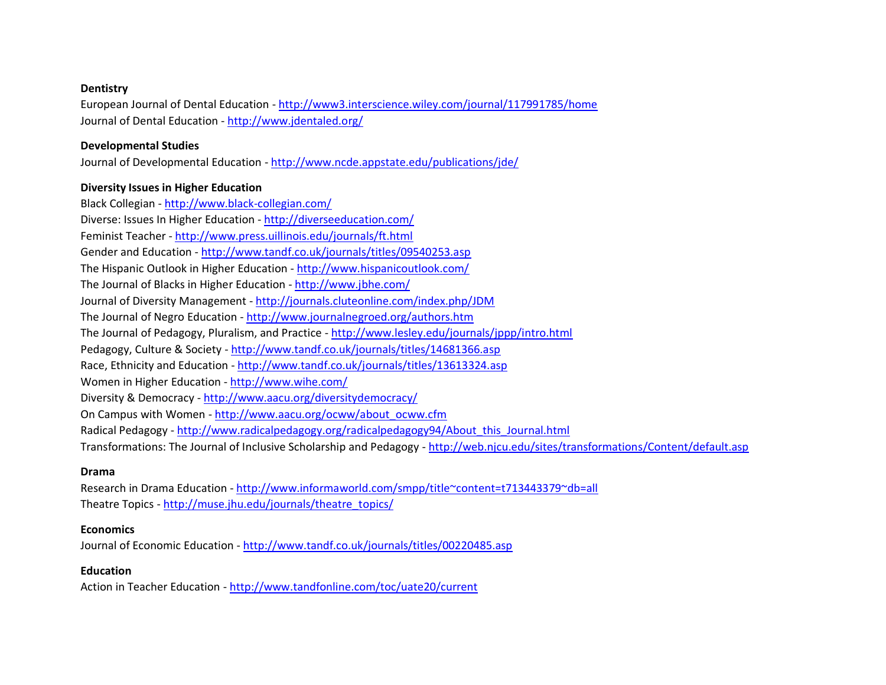#### **Dentistry**

European Journal of Dental Education - <http://www3.interscience.wiley.com/journal/117991785/home> Journal of Dental Education - <http://www.jdentaled.org/>

#### **Developmental Studies**

Journal of Developmental Education - <http://www.ncde.appstate.edu/publications/jde/>

#### **Diversity Issues in Higher Education**

Black Collegian - <http://www.black-collegian.com/> Diverse: Issues In Higher Education - <http://diverseeducation.com/> Feminist Teacher - <http://www.press.uillinois.edu/journals/ft.html> Gender and Education - <http://www.tandf.co.uk/journals/titles/09540253.asp> The Hispanic Outlook in Higher Education - <http://www.hispanicoutlook.com/> The Journal of Blacks in Higher Education - <http://www.jbhe.com/> Journal of Diversity Management - <http://journals.cluteonline.com/index.php/JDM> The Journal of Negro Education - <http://www.journalnegroed.org/authors.htm> The Journal of Pedagogy, Pluralism, and Practice - <http://www.lesley.edu/journals/jppp/intro.html> Pedagogy, Culture & Society - <http://www.tandf.co.uk/journals/titles/14681366.asp> Race, Ethnicity and Education - <http://www.tandf.co.uk/journals/titles/13613324.asp> Women in Higher Education - <http://www.wihe.com/> Diversity & Democracy - <http://www.aacu.org/diversitydemocracy/> On Campus with Women - [http://www.aacu.org/ocww/about\\_ocww.cfm](http://www.aacu.org/ocww/about_ocww.cfm) Radical Pedagogy - [http://www.radicalpedagogy.org/radicalpedagogy94/About\\_this\\_Journal.html](http://www.radicalpedagogy.org/radicalpedagogy94/About_this_Journal.html) Transformations: The Journal of Inclusive Scholarship and Pedagogy - <http://web.njcu.edu/sites/transformations/Content/default.asp>

#### **Drama**

Research in Drama Education - <http://www.informaworld.com/smpp/title~content=t713443379~db=all> Theatre Topics - [http://muse.jhu.edu/journals/theatre\\_topics/](http://muse.jhu.edu/journals/theatre_topics/)

#### **Economics**

Journal of Economic Education - <http://www.tandf.co.uk/journals/titles/00220485.asp>

## **Education**

Action in Teacher Education - <http://www.tandfonline.com/toc/uate20/current>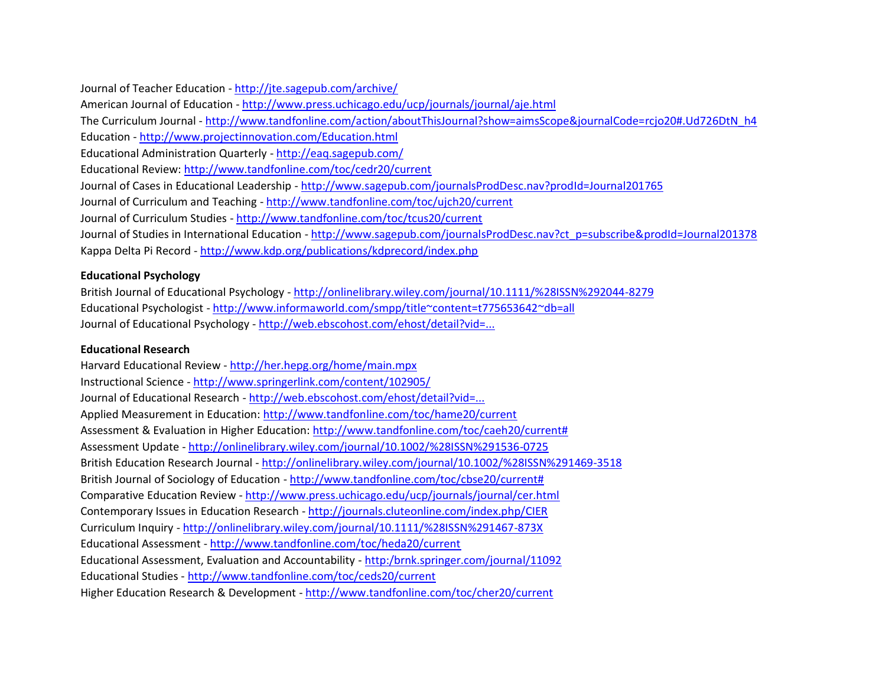Journal of Teacher Education - <http://jte.sagepub.com/archive/>

American Journal of Education - <http://www.press.uchicago.edu/ucp/journals/journal/aje.html>

The Curriculum Journal - [http://www.tandfonline.com/action/aboutThisJournal?show=aimsScope&journalCode=rcjo20#.Ud726DtN\\_h4](http://www.tandfonline.com/action/aboutThisJournal?show=aimsScope&journalCode=rcjo20#.Ud726DtN_h4)

Education - <http://www.projectinnovation.com/Education.html>

Educational Administration Quarterly - <http://eaq.sagepub.com/>

Educational Review: <http://www.tandfonline.com/toc/cedr20/current>

Journal of Cases in Educational Leadership - <http://www.sagepub.com/journalsProdDesc.nav?prodId=Journal201765>

Journal of Curriculum and Teaching - <http://www.tandfonline.com/toc/ujch20/current>

Journal of Curriculum Studies - <http://www.tandfonline.com/toc/tcus20/current>

Journal of Studies in International Education - [http://www.sagepub.com/journalsProdDesc.nav?ct\\_p=subscribe&prodId=Journal201378](http://www.sagepub.com/journalsProdDesc.nav?ct_p=subscribe&prodId=Journal201378) Kappa Delta Pi Record - <http://www.kdp.org/publications/kdprecord/index.php>

## **Educational Psychology**

British Journal of Educational Psychology - <http://onlinelibrary.wiley.com/journal/10.1111/%28ISSN%292044-8279> Educational Psychologist - <http://www.informaworld.com/smpp/title~content=t775653642~db=all> Journal of Educational Psychology - [http://web.ebscohost.com/ehost/detail?vid=...](http://web.ebscohost.com/ehost/detail?vid=1&hid=111&sid=bd215868-d7fc-4a79-9905-545f6f1c5442%40sessionmgr114&bdata=JnNpdGU9ZWhvc3QtbGl2ZQ%3d%3d#db=pdh&jid=EDU)

## **Educational Research**

Harvard Educational Review - <http://her.hepg.org/home/main.mpx> Instructional Science - <http://www.springerlink.com/content/102905/> Journal of Educational Research - [http://web.ebscohost.com/ehost/detail?vid=...](http://web.ebscohost.com/ehost/detail?vid=1&hid=111&sid=2bdb5fe1-6f0f-4d06-b6ab-78e33bee39e4%40sessionmgr104&bdata=JnNpdGU9ZWhvc3QtbGl2ZQ%3d%3d#db=aph&jid=ERE) Applied Measurement in Education: <http://www.tandfonline.com/toc/hame20/current> Assessment & Evaluation in Higher Education: [http://www.tandfonline.com/toc/caeh20/current#](http://www.tandfonline.com/toc/caeh20/current) Assessment Update - <http://onlinelibrary.wiley.com/journal/10.1002/%28ISSN%291536-0725> British Education Research Journal - <http://onlinelibrary.wiley.com/journal/10.1002/%28ISSN%291469-3518> British Journal of Sociology of Education - [http://www.tandfonline.com/toc/cbse20/current#](http://www.tandfonline.com/toc/cbse20/current) Comparative Education Review - <http://www.press.uchicago.edu/ucp/journals/journal/cer.html> Contemporary Issues in Education Research - <http://journals.cluteonline.com/index.php/CIER> Curriculum Inquiry - <http://onlinelibrary.wiley.com/journal/10.1111/%28ISSN%291467-873X> Educational Assessment - <http://www.tandfonline.com/toc/heda20/current> Educational Assessment, Evaluation and Accountability - [http:/brnk.springer.com/journal/11092](http://www.fctl.ucf.edu/brnk.springer.com/journal/11092) Educational Studies - <http://www.tandfonline.com/toc/ceds20/current> Higher Education Research & Development - <http://www.tandfonline.com/toc/cher20/current>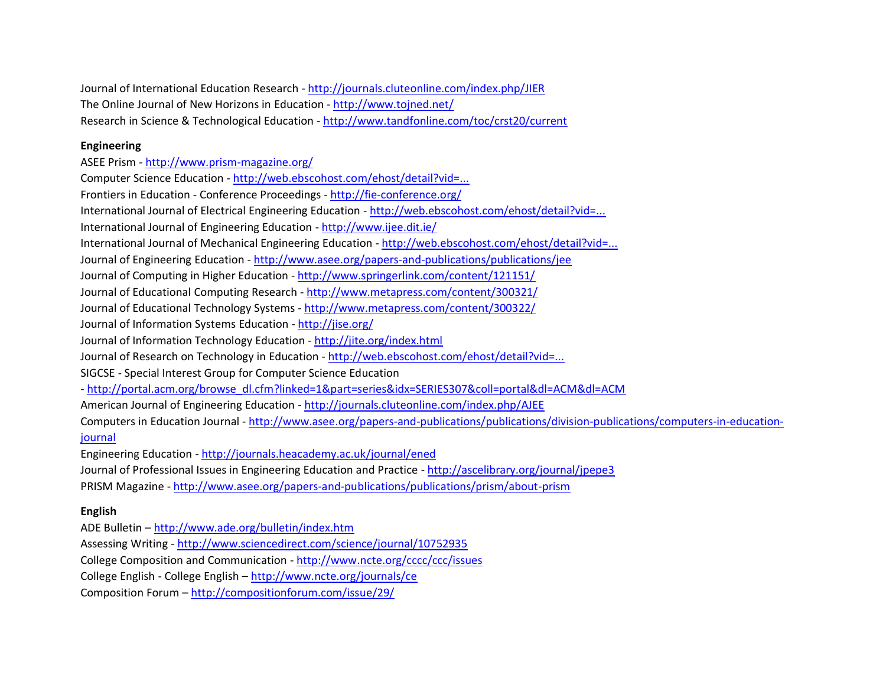Journal of International Education Research - <http://journals.cluteonline.com/index.php/JIER> The Online Journal of New Horizons in Education - <http://www.tojned.net/> Research in Science & Technological Education - <http://www.tandfonline.com/toc/crst20/current>

## **Engineering**

ASEE Prism - <http://www.prism-magazine.org/> Computer Science Education - [http://web.ebscohost.com/ehost/detail?vid=...](http://web.ebscohost.com/ehost/detail?vid=1&hid=111&sid=2d71acf3-c04c-478b-b675-6ff217942050%40sessionmgr110&bdata=JnNpdGU9ZWhvc3QtbGl2ZQ%3d%3d#db=aph&jid=EHX) Frontiers in Education - Conference Proceedings - <http://fie-conference.org/> International Journal of Electrical Engineering Education - [http://web.ebscohost.com/ehost/detail?vid=...](http://web.ebscohost.com/ehost/detail?vid=1&hid=111&sid=ad97d432-cf63-4d7d-9c6a-966028bf0c75%40sessionmgr110&bdata=JnNpdGU9ZWhvc3QtbGl2ZQ%3d%3d#db=aph&jid=6M0) International Journal of Engineering Education - <http://www.ijee.dit.ie/> International Journal of Mechanical Engineering Education - [http://web.ebscohost.com/ehost/detail?vid=...](http://web.ebscohost.com/ehost/detail?vid=1&hid=111&sid=bdde6c21-cb48-4e55-ab85-c9a461772861%40sessionmgr111&bdata=JnNpdGU9ZWhvc3QtbGl2ZQ%3d%3d#db=aph&jid=8D8) Journal of Engineering Education - <http://www.asee.org/papers-and-publications/publications/jee> Journal of Computing in Higher Education - <http://www.springerlink.com/content/121151/> Journal of Educational Computing Research - <http://www.metapress.com/content/300321/> Journal of Educational Technology Systems - <http://www.metapress.com/content/300322/> Journal of Information Systems Education - <http://jise.org/> Journal of Information Technology Education - <http://jite.org/index.html> Journal of Research on Technology in Education - [http://web.ebscohost.com/ehost/detail?vid=...](http://web.ebscohost.com/ehost/detail?vid=1&hid=111&sid=59ec69e2-a34f-49a6-aaf6-3fc373ee498e%40sessionmgr114&bdata=JnNpdGU9ZWhvc3QtbGl2ZQ%3d%3d#db=aph&jid=I02) SIGCSE - Special Interest Group for Computer Science Education - [http://portal.acm.org/browse\\_dl.cfm?linked=1&part=series&idx=SERIES307&coll=portal&dl=ACM&dl=ACM](http://portal.acm.org/browse_dl.cfm?linked=1&part=series&idx=SERIES307&coll=portal&dl=ACM&dl=ACM) American Journal of Engineering Education - <http://journals.cluteonline.com/index.php/AJEE> Computers in Education Journal - [http://www.asee.org/papers-and-publications/publications/division-publications/computers-in-education](http://www.asee.org/papers-and-publications/publications/division-publications/computers-in-education-journal)[journal](http://www.asee.org/papers-and-publications/publications/division-publications/computers-in-education-journal) Engineering Education - <http://journals.heacademy.ac.uk/journal/ened> Journal of Professional Issues in Engineering Education and Practice - <http://ascelibrary.org/journal/jpepe3> PRISM Magazine - <http://www.asee.org/papers-and-publications/publications/prism/about-prism>

## **English**

ADE Bulletin – <http://www.ade.org/bulletin/index.htm> Assessing Writing - <http://www.sciencedirect.com/science/journal/10752935> College Composition and Communication - <http://www.ncte.org/cccc/ccc/issues> College English - College English – <http://www.ncte.org/journals/ce> Composition Forum – <http://compositionforum.com/issue/29/>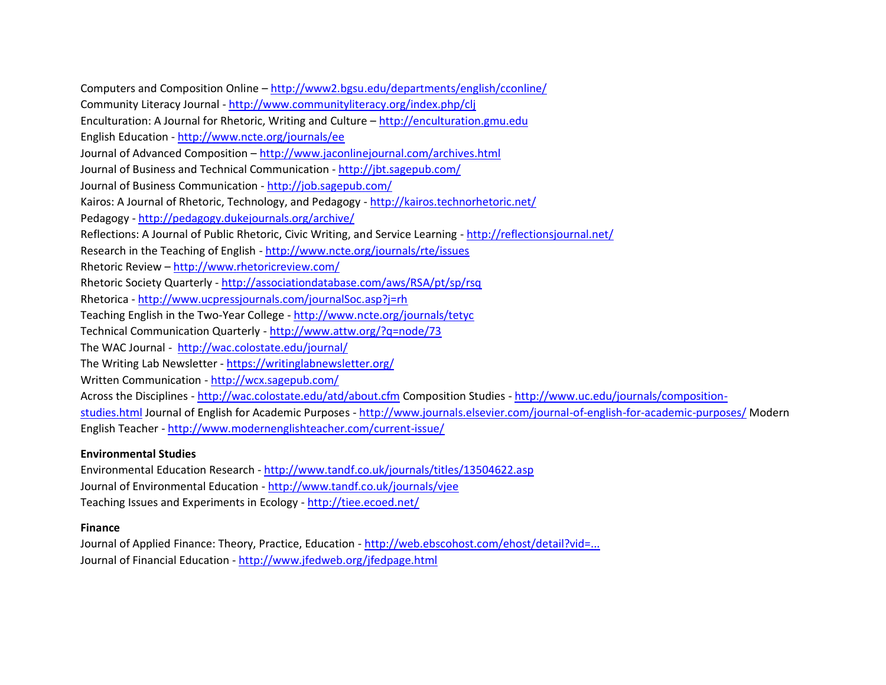Computers and Composition Online – <http://www2.bgsu.edu/departments/english/cconline/> Community Literacy Journal - <http://www.communityliteracy.org/index.php/clj> Enculturation: A Journal for Rhetoric, Writing and Culture – [http://enculturation.gmu.edu](http://enculturation.gmu.edu/) English Education - <http://www.ncte.org/journals/ee> Journal of Advanced Composition – <http://www.jaconlinejournal.com/archives.html> Journal of Business and Technical Communication - <http://jbt.sagepub.com/> Journal of Business Communication - <http://job.sagepub.com/> Kairos: A Journal of Rhetoric, Technology, and Pedagogy - <http://kairos.technorhetoric.net/> Pedagogy - <http://pedagogy.dukejournals.org/archive/> Reflections: A Journal of Public Rhetoric, Civic Writing, and Service Learning - <http://reflectionsjournal.net/> Research in the Teaching of English - <http://www.ncte.org/journals/rte/issues> Rhetoric Review – <http://www.rhetoricreview.com/> Rhetoric Society Quarterly - <http://associationdatabase.com/aws/RSA/pt/sp/rsq> Rhetorica - <http://www.ucpressjournals.com/journalSoc.asp?j=rh> Teaching English in the Two-Year College - <http://www.ncte.org/journals/tetyc> Technical Communication Quarterly - <http://www.attw.org/?q=node/73> The WAC Journal - <http://wac.colostate.edu/journal/> The Writing Lab Newsletter - <https://writinglabnewsletter.org/> Written Communication - <http://wcx.sagepub.com/> Across the Disciplines - <http://wac.colostate.edu/atd/about.cfm> Composition Studies - [http://www.uc.edu/journals/composition](http://www.uc.edu/journals/composition-studies.html)[studies.html](http://www.uc.edu/journals/composition-studies.html) Journal of English for Academic Purposes - <http://www.journals.elsevier.com/journal-of-english-for-academic-purposes/> Modern English Teacher - <http://www.modernenglishteacher.com/current-issue/>

## **Environmental Studies**

Environmental Education Research - <http://www.tandf.co.uk/journals/titles/13504622.asp> Journal of Environmental Education - <http://www.tandf.co.uk/journals/vjee> Teaching Issues and Experiments in Ecology - <http://tiee.ecoed.net/>

## **Finance**

Journal of Applied Finance: Theory, Practice, Education - [http://web.ebscohost.com/ehost/detail?vid=...](http://web.ebscohost.com/ehost/detail?vid=1&hid=111&sid=9affc00c-14e2-41a3-b8a6-ee80578406e6%40sessionmgr111&bdata=JnNpdGU9ZWhvc3QtbGl2ZQ%3d%3d#db=buh&jid=HZA) Journal of Financial Education - <http://www.jfedweb.org/jfedpage.html>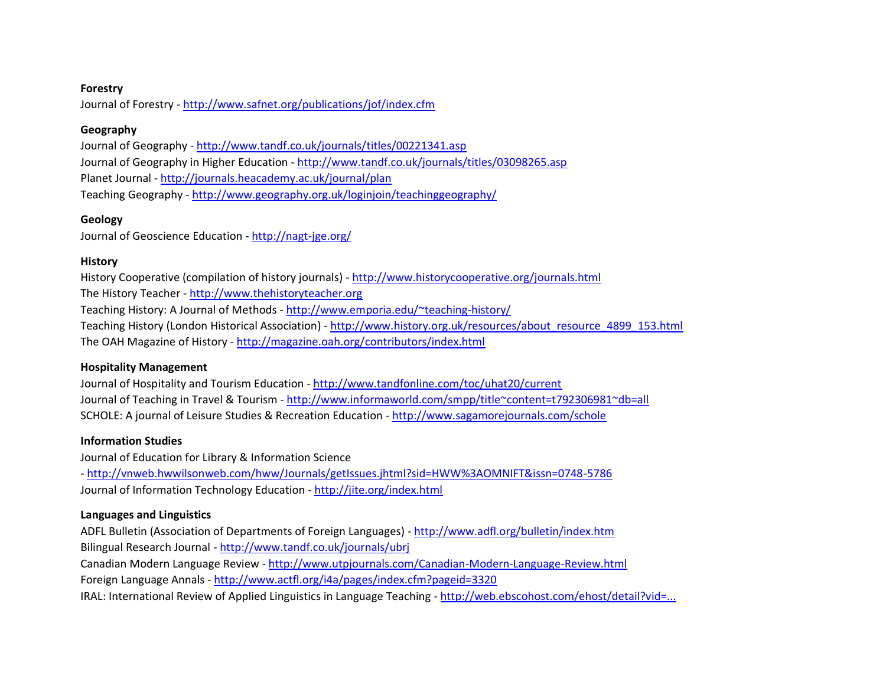#### **Forestry**

Journal of Forestry - <http://www.safnet.org/publications/jof/index.cfm>

#### **Geography**

Journal of Geography - <http://www.tandf.co.uk/journals/titles/00221341.asp> Journal of Geography in Higher Education - <http://www.tandf.co.uk/journals/titles/03098265.asp> Planet Journal - <http://journals.heacademy.ac.uk/journal/plan> Teaching Geography - <http://www.geography.org.uk/loginjoin/teachinggeography/>

## **Geology**

Journal of Geoscience Education - <http://nagt-jge.org/>

## **History**

History Cooperative (compilation of history journals) - <http://www.historycooperative.org/journals.html> The History Teacher - [http://www.thehistoryteacher.org](http://www.thehistoryteacher.org/) Teaching History: A Journal of Methods - <http://www.emporia.edu/~teaching-history/> Teaching History (London Historical Association) - [http://www.history.org.uk/resources/about\\_resource\\_4899\\_153.html](http://www.history.org.uk/resources/about_resource_4899_153.html) The OAH Magazine of History - <http://magazine.oah.org/contributors/index.html>

## **Hospitality Management**

Journal of Hospitality and Tourism Education - <http://www.tandfonline.com/toc/uhat20/current> Journal of Teaching in Travel & Tourism - <http://www.informaworld.com/smpp/title~content=t792306981~db=all> SCHOLE: A journal of Leisure Studies & Recreation Education - <http://www.sagamorejournals.com/schole>

## **Information Studies**

Journal of Education for Library & Information Science - <http://vnweb.hwwilsonweb.com/hww/Journals/getIssues.jhtml?sid=HWW%3AOMNIFT&issn=0748-5786> Journal of Information Technology Education - <http://jite.org/index.html>

## **Languages and Linguistics**

ADFL Bulletin (Association of Departments of Foreign Languages) - <http://www.adfl.org/bulletin/index.htm> Bilingual Research Journal - <http://www.tandf.co.uk/journals/ubrj>

Canadian Modern Language Review - <http://www.utpjournals.com/Canadian-Modern-Language-Review.html> Foreign Language Annals - <http://www.actfl.org/i4a/pages/index.cfm?pageid=3320>

IRAL: International Review of Applied Linguistics in Language Teaching - [http://web.ebscohost.com/ehost/detail?vid=...](http://web.ebscohost.com/ehost/detail?vid=1&hid=111&sid=3567abcb-3046-422c-8a4a-c18a8cfc1336%40sessionmgr104&bdata=JnNpdGU9ZWhvc3QtbGl2ZQ%3d%3d#db=ufh&jid=IRA)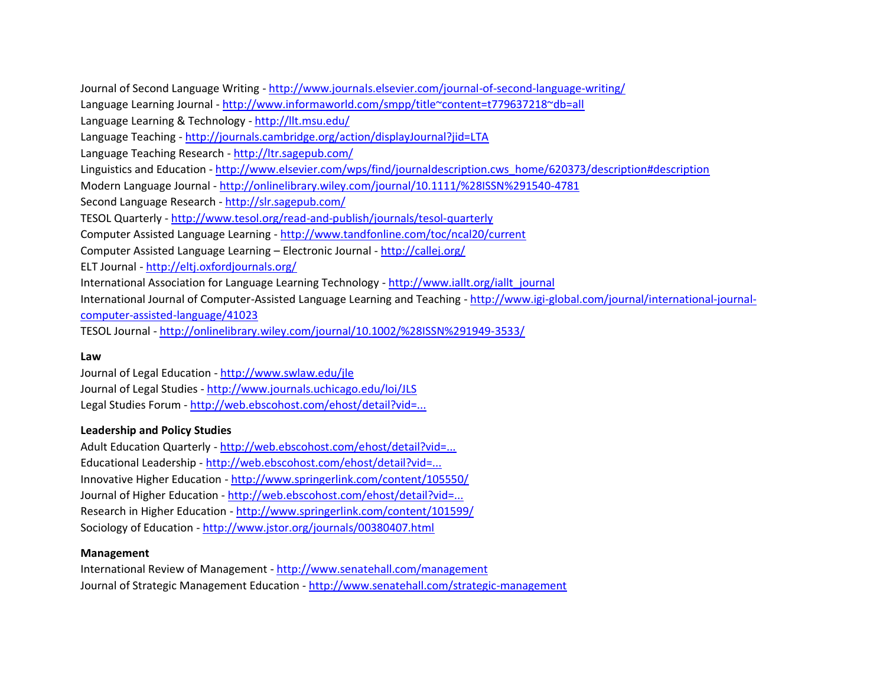Journal of Second Language Writing - <http://www.journals.elsevier.com/journal-of-second-language-writing/> Language Learning Journal - <http://www.informaworld.com/smpp/title~content=t779637218~db=all> Language Learning & Technology - <http://llt.msu.edu/> Language Teaching - <http://journals.cambridge.org/action/displayJournal?jid=LTA> Language Teaching Research - <http://ltr.sagepub.com/> Linguistics and Education - [http://www.elsevier.com/wps/find/journaldescription.cws\\_home/620373/description#description](http://www.elsevier.com/wps/find/journaldescription.cws_home/620373/description#description) Modern Language Journal - <http://onlinelibrary.wiley.com/journal/10.1111/%28ISSN%291540-4781> Second Language Research - <http://slr.sagepub.com/> TESOL Quarterly - <http://www.tesol.org/read-and-publish/journals/tesol-quarterly> Computer Assisted Language Learning - <http://www.tandfonline.com/toc/ncal20/current> Computer Assisted Language Learning – Electronic Journal - <http://callej.org/> ELT Journal - <http://eltj.oxfordjournals.org/> International Association for Language Learning Technology - [http://www.iallt.org/iallt\\_journal](http://www.iallt.org/iallt_journal) International Journal of Computer-Assisted Language Learning and Teaching - [http://www.igi-global.com/journal/international-journal](http://www.igi-global.com/journal/international-journal-computer-assisted-language/41023)[computer-assisted-language/41023](http://www.igi-global.com/journal/international-journal-computer-assisted-language/41023) TESOL Journal - <http://onlinelibrary.wiley.com/journal/10.1002/%28ISSN%291949-3533/>

#### **Law**

Journal of Legal Education - <http://www.swlaw.edu/jle> Journal of Legal Studies - <http://www.journals.uchicago.edu/loi/JLS> Legal Studies Forum - [http://web.ebscohost.com/ehost/detail?vid=...](http://web.ebscohost.com/ehost/detail?vid=1&hid=111&sid=1ac76848-2fb9-40fe-87b2-e87e6b9c75af%40sessionmgr104&bdata=JnNpdGU9ZWhvc3QtbGl2ZQ%3d%3d#db=aph&jid=GGA)

#### **Leadership and Policy Studies**

Adult Education Quarterly - [http://web.ebscohost.com/ehost/detail?vid=...](http://web.ebscohost.com/ehost/detail?vid=1&hid=111&sid=f81086ee-1ce7-422d-aba0-3179afe0424e%40sessionmgr113&bdata=JnNpdGU9ZWhvc3QtbGl2ZQ%3d%3d#db=aph&jid=ADQ) Educational Leadership - [http://web.ebscohost.com/ehost/detail?vid=...](http://web.ebscohost.com/ehost/detail?vid=1&hid=111&sid=708dacc5-5227-4c44-b4f2-1c8a7cbfe689%40sessionmgr113&bdata=JnNpdGU9ZWhvc3QtbGl2ZQ%3d%3d#db=aph&jid=EDL) Innovative Higher Education - <http://www.springerlink.com/content/105550/> Journal of Higher Education - [http://web.ebscohost.com/ehost/detail?vid=...](http://web.ebscohost.com/ehost/detail?vid=1&hid=111&sid=07255711-d915-4712-9285-fef682cbdb83%40sessionmgr111&bdata=JnNpdGU9ZWhvc3QtbGl2ZQ%3d%3d#db=aph&jid=JHE) Research in Higher Education - <http://www.springerlink.com/content/101599/> Sociology of Education - <http://www.jstor.org/journals/00380407.html>

#### **Management**

International Review of Management - <http://www.senatehall.com/management> Journal of Strategic Management Education - <http://www.senatehall.com/strategic-management>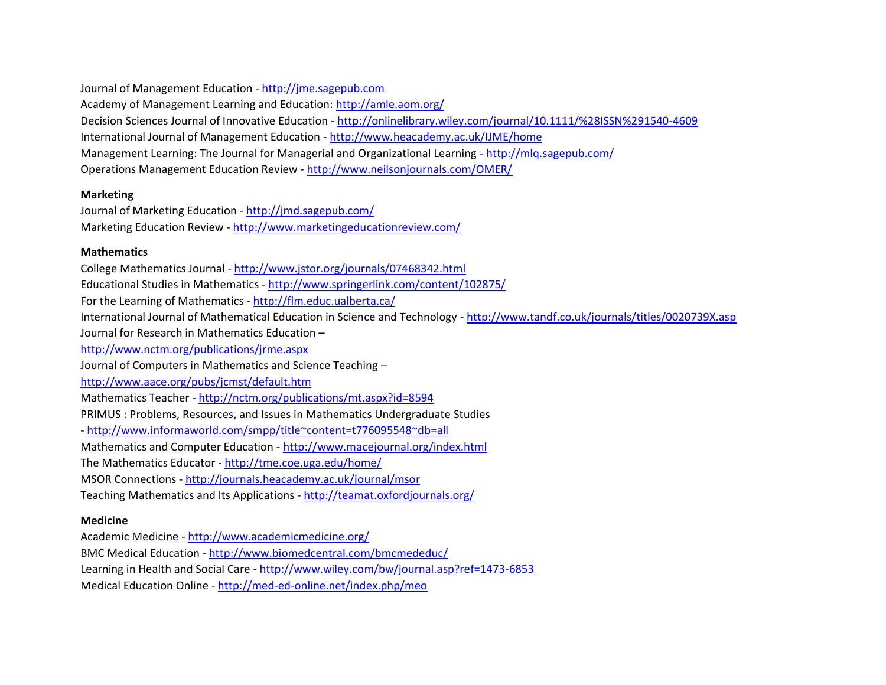Journal of Management Education - [http://jme.sagepub.com](http://jme.sagepub.com/)

Academy of Management Learning and Education: <http://amle.aom.org/>

Decision Sciences Journal of Innovative Education - <http://onlinelibrary.wiley.com/journal/10.1111/%28ISSN%291540-4609> International Journal of Management Education - <http://www.heacademy.ac.uk/IJME/home>

Management Learning: The Journal for Managerial and Organizational Learning - <http://mlq.sagepub.com/>

Operations Management Education Review - <http://www.neilsonjournals.com/OMER/>

## **Marketing**

Journal of Marketing Education - <http://jmd.sagepub.com/> Marketing Education Review - <http://www.marketingeducationreview.com/>

## **Mathematics**

College Mathematics Journal - <http://www.jstor.org/journals/07468342.html> Educational Studies in Mathematics - <http://www.springerlink.com/content/102875/> For the Learning of Mathematics - <http://flm.educ.ualberta.ca/> International Journal of Mathematical Education in Science and Technology - <http://www.tandf.co.uk/journals/titles/0020739X.asp> Journal for Research in Mathematics Education – <http://www.nctm.org/publications/jrme.aspx> Journal of Computers in Mathematics and Science Teaching – <http://www.aace.org/pubs/jcmst/default.htm> Mathematics Teacher - <http://nctm.org/publications/mt.aspx?id=8594> PRIMUS : Problems, Resources, and Issues in Mathematics Undergraduate Studies - <http://www.informaworld.com/smpp/title~content=t776095548~db=all> Mathematics and Computer Education - <http://www.macejournal.org/index.html> The Mathematics Educator - <http://tme.coe.uga.edu/home/> MSOR Connections - <http://journals.heacademy.ac.uk/journal/msor> Teaching Mathematics and Its Applications - <http://teamat.oxfordjournals.org/>

## **Medicine**

Academic Medicine - <http://www.academicmedicine.org/> BMC Medical Education - <http://www.biomedcentral.com/bmcmededuc/> Learning in Health and Social Care - <http://www.wiley.com/bw/journal.asp?ref=1473-6853> Medical Education Online - <http://med-ed-online.net/index.php/meo>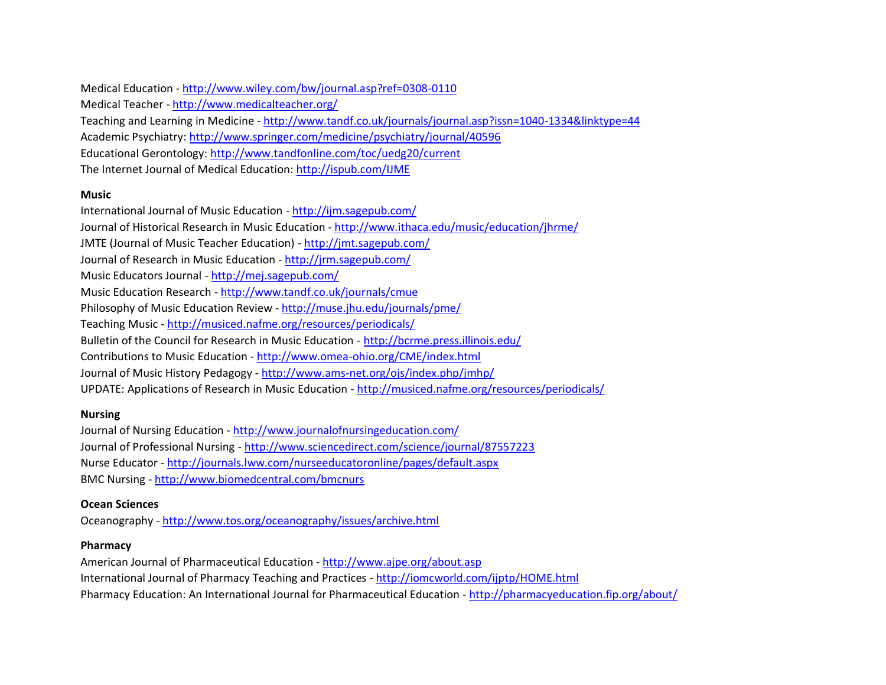Medical Education - <http://www.wiley.com/bw/journal.asp?ref=0308-0110>

Medical Teacher - <http://www.medicalteacher.org/>

Teaching and Learning in Medicine - <http://www.tandf.co.uk/journals/journal.asp?issn=1040-1334&linktype=44>

Academic Psychiatry: <http://www.springer.com/medicine/psychiatry/journal/40596>

Educational Gerontology: <http://www.tandfonline.com/toc/uedg20/current>

The Internet Journal of Medical Education: <http://ispub.com/IJME>

## **Music**

International Journal of Music Education - <http://ijm.sagepub.com/> Journal of Historical Research in Music Education - <http://www.ithaca.edu/music/education/jhrme/> JMTE (Journal of Music Teacher Education) - <http://jmt.sagepub.com/> Journal of Research in Music Education - <http://jrm.sagepub.com/> Music Educators Journal - <http://mej.sagepub.com/> Music Education Research - <http://www.tandf.co.uk/journals/cmue> Philosophy of Music Education Review - <http://muse.jhu.edu/journals/pme/> Teaching Music - <http://musiced.nafme.org/resources/periodicals/> Bulletin of the Council for Research in Music Education - <http://bcrme.press.illinois.edu/> Contributions to Music Education - <http://www.omea-ohio.org/CME/index.html> Journal of Music History Pedagogy - <http://www.ams-net.org/ojs/index.php/jmhp/> UPDATE: Applications of Research in Music Education - <http://musiced.nafme.org/resources/periodicals/>

#### **Nursing**

Journal of Nursing Education - <http://www.journalofnursingeducation.com/> Journal of Professional Nursing - <http://www.sciencedirect.com/science/journal/87557223> Nurse Educator - <http://journals.lww.com/nurseeducatoronline/pages/default.aspx> BMC Nursing - <http://www.biomedcentral.com/bmcnurs>

## **Ocean Sciences**

Oceanography - <http://www.tos.org/oceanography/issues/archive.html>

## **Pharmacy**

American Journal of Pharmaceutical Education - <http://www.ajpe.org/about.asp> International Journal of Pharmacy Teaching and Practices - <http://iomcworld.com/ijptp/HOME.html> Pharmacy Education: An International Journal for Pharmaceutical Education - <http://pharmacyeducation.fip.org/about/>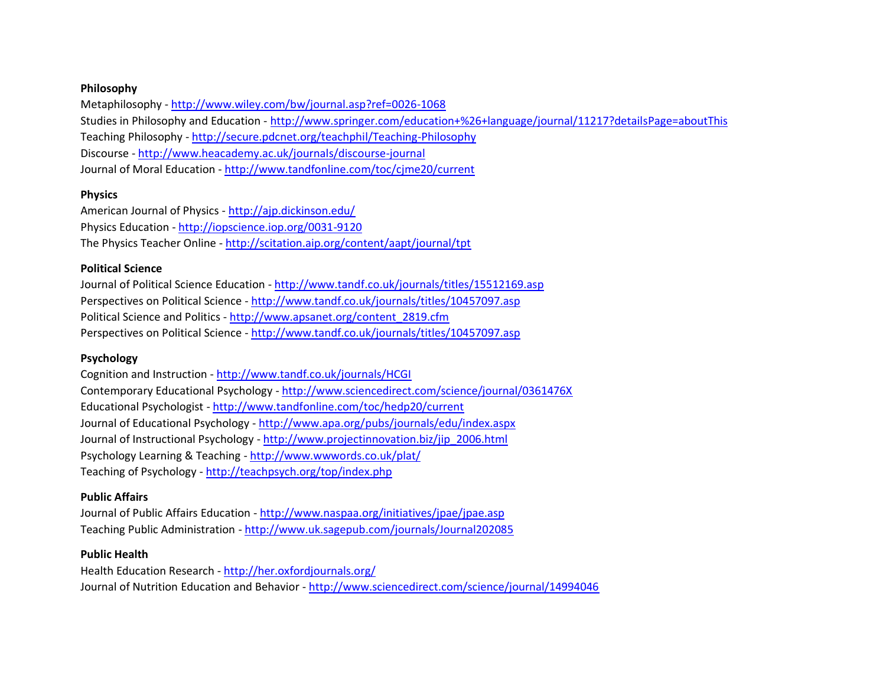#### **Philosophy**

Metaphilosophy - <http://www.wiley.com/bw/journal.asp?ref=0026-1068> Studies in Philosophy and Education - [http://www.springer.com/education+%26+language/journal/11217?detailsPage=aboutThis](http://www.springer.com/education+&+language/journal/11217?detailsPage=aboutThis) Teaching Philosophy - <http://secure.pdcnet.org/teachphil/Teaching-Philosophy> Discourse - <http://www.heacademy.ac.uk/journals/discourse-journal> Journal of Moral Education - <http://www.tandfonline.com/toc/cjme20/current>

## **Physics**

American Journal of Physics - <http://ajp.dickinson.edu/> Physics Education - <http://iopscience.iop.org/0031-9120> The Physics Teacher Online - <http://scitation.aip.org/content/aapt/journal/tpt>

## **Political Science**

Journal of Political Science Education - <http://www.tandf.co.uk/journals/titles/15512169.asp> Perspectives on Political Science - <http://www.tandf.co.uk/journals/titles/10457097.asp> Political Science and Politics - [http://www.apsanet.org/content\\_2819.cfm](http://www.apsanet.org/content_2819.cfm) Perspectives on Political Science - <http://www.tandf.co.uk/journals/titles/10457097.asp>

## **Psychology**

Cognition and Instruction - <http://www.tandf.co.uk/journals/HCGI> Contemporary Educational Psychology - <http://www.sciencedirect.com/science/journal/0361476X> Educational Psychologist - <http://www.tandfonline.com/toc/hedp20/current> Journal of Educational Psychology - <http://www.apa.org/pubs/journals/edu/index.aspx> Journal of Instructional Psychology - [http://www.projectinnovation.biz/jip\\_2006.html](http://www.projectinnovation.biz/jip_2006.html) Psychology Learning & Teaching - <http://www.wwwords.co.uk/plat/> Teaching of Psychology - <http://teachpsych.org/top/index.php>

## **Public Affairs**

Journal of Public Affairs Education - <http://www.naspaa.org/initiatives/jpae/jpae.asp> Teaching Public Administration - <http://www.uk.sagepub.com/journals/Journal202085>

## **Public Health**

Health Education Research - <http://her.oxfordjournals.org/> Journal of Nutrition Education and Behavior - <http://www.sciencedirect.com/science/journal/14994046>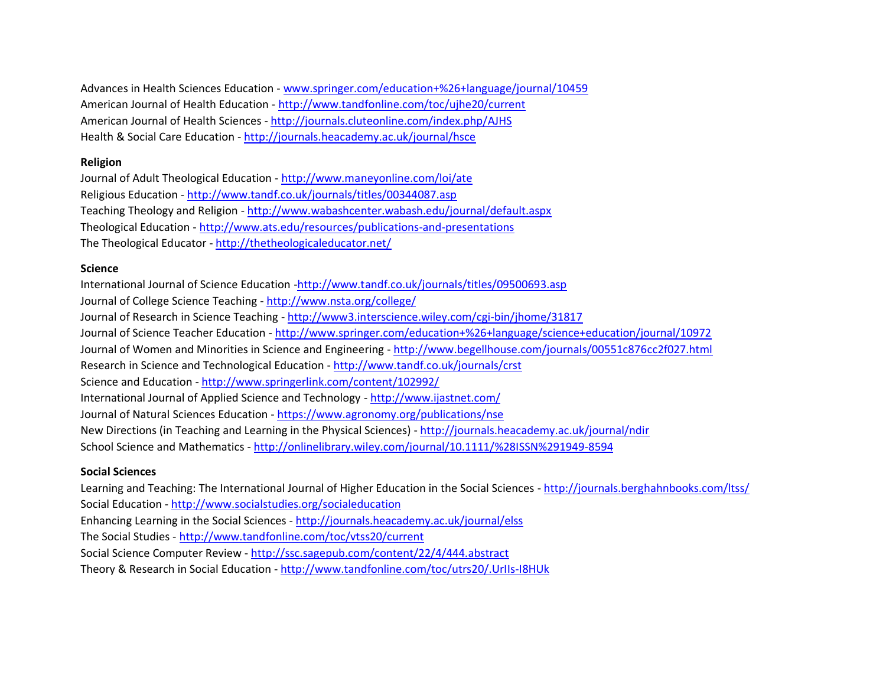Advances in Health Sciences Education - [www.springer.com/education+%26+language/journal/10459](http://www.springer.com/education+%26+language/journal/10459) American Journal of Health Education - <http://www.tandfonline.com/toc/ujhe20/current> American Journal of Health Sciences - <http://journals.cluteonline.com/index.php/AJHS> Health & Social Care Education - <http://journals.heacademy.ac.uk/journal/hsce>

#### **Religion**

Journal of Adult Theological Education - <http://www.maneyonline.com/loi/ate> Religious Education - <http://www.tandf.co.uk/journals/titles/00344087.asp> Teaching Theology and Religion - <http://www.wabashcenter.wabash.edu/journal/default.aspx> Theological Education - <http://www.ats.edu/resources/publications-and-presentations> The Theological Educator - <http://thetheologicaleducator.net/>

#### **Science**

International Journal of Science Education [-http://www.tandf.co.uk/journals/titles/09500693.asp](http://www.tandf.co.uk/journals/titles/09500693.asp) Journal of College Science Teaching - <http://www.nsta.org/college/> Journal of Research in Science Teaching - <http://www3.interscience.wiley.com/cgi-bin/jhome/31817> Journal of Science Teacher Education - [http://www.springer.com/education+%26+language/science+education/journal/10972](http://www.springer.com/education+&+language/science+education/journal/10972) Journal of Women and Minorities in Science and Engineering - <http://www.begellhouse.com/journals/00551c876cc2f027.html> Research in Science and Technological Education - <http://www.tandf.co.uk/journals/crst> Science and Education - <http://www.springerlink.com/content/102992/> International Journal of Applied Science and Technology - <http://www.ijastnet.com/> Journal of Natural Sciences Education - <https://www.agronomy.org/publications/nse> New Directions (in Teaching and Learning in the Physical Sciences) - <http://journals.heacademy.ac.uk/journal/ndir> School Science and Mathematics - <http://onlinelibrary.wiley.com/journal/10.1111/%28ISSN%291949-8594>

## **Social Sciences**

Learning and Teaching: The International Journal of Higher Education in the Social Sciences - <http://journals.berghahnbooks.com/ltss/> Social Education - <http://www.socialstudies.org/socialeducation> Enhancing Learning in the Social Sciences - <http://journals.heacademy.ac.uk/journal/elss> The Social Studies - <http://www.tandfonline.com/toc/vtss20/current> Social Science Computer Review - <http://ssc.sagepub.com/content/22/4/444.abstract> Theory & Research in Social Education - <http://www.tandfonline.com/toc/utrs20/.UrIIs-I8HUk>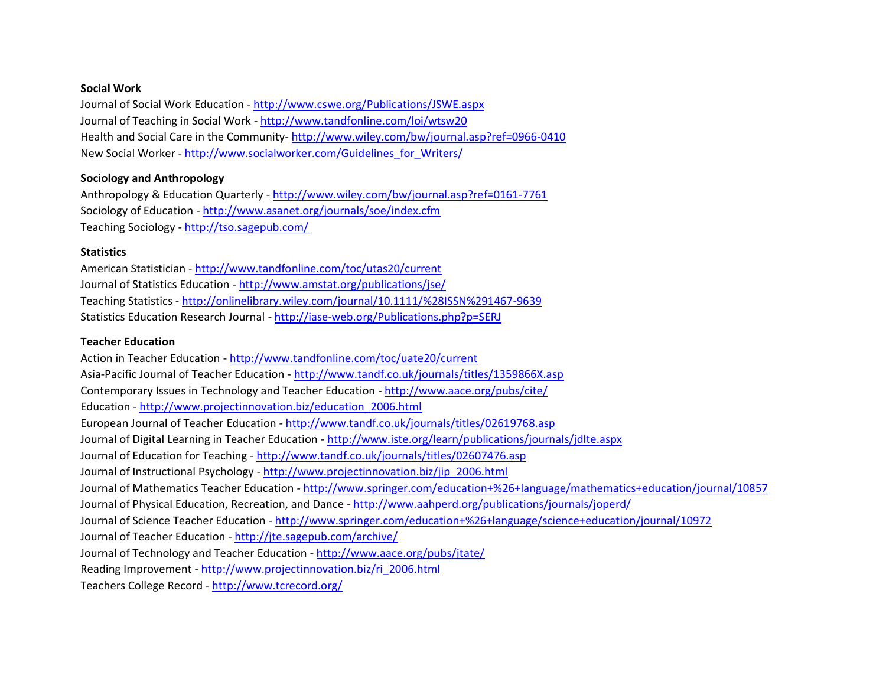#### **Social Work**

Journal of Social Work Education - <http://www.cswe.org/Publications/JSWE.aspx> Journal of Teaching in Social Work - <http://www.tandfonline.com/loi/wtsw20> Health and Social Care in the Community- <http://www.wiley.com/bw/journal.asp?ref=0966-0410> New Social Worker - [http://www.socialworker.com/Guidelines\\_for\\_Writers/](http://www.socialworker.com/Guidelines_for_Writers/)

#### **Sociology and Anthropology**

Anthropology & Education Quarterly - <http://www.wiley.com/bw/journal.asp?ref=0161-7761> Sociology of Education - <http://www.asanet.org/journals/soe/index.cfm> Teaching Sociology - <http://tso.sagepub.com/>

#### **Statistics**

American Statistician - <http://www.tandfonline.com/toc/utas20/current> Journal of Statistics Education - <http://www.amstat.org/publications/jse/> Teaching Statistics - <http://onlinelibrary.wiley.com/journal/10.1111/%28ISSN%291467-9639> Statistics Education Research Journal - <http://iase-web.org/Publications.php?p=SERJ>

#### **Teacher Education**

Action in Teacher Education - <http://www.tandfonline.com/toc/uate20/current> Asia-Pacific Journal of Teacher Education - <http://www.tandf.co.uk/journals/titles/1359866X.asp> Contemporary Issues in Technology and Teacher Education - <http://www.aace.org/pubs/cite/> Education - [http://www.projectinnovation.biz/education\\_2006.html](http://www.projectinnovation.biz/education_2006.html) European Journal of Teacher Education - <http://www.tandf.co.uk/journals/titles/02619768.asp> Journal of Digital Learning in Teacher Education - <http://www.iste.org/learn/publications/journals/jdlte.aspx> Journal of Education for Teaching - <http://www.tandf.co.uk/journals/titles/02607476.asp> Journal of Instructional Psychology - [http://www.projectinnovation.biz/jip\\_2006.html](http://www.projectinnovation.biz/jip_2006.html) Journal of Mathematics Teacher Education - [http://www.springer.com/education+%26+language/mathematics+education/journal/10857](http://www.springer.com/education+&+language/mathematics+education/journal/10857) Journal of Physical Education, Recreation, and Dance - <http://www.aahperd.org/publications/journals/joperd/> Journal of Science Teacher Education - [http://www.springer.com/education+%26+language/science+education/journal/10972](http://www.springer.com/education+&+language/science+education/journal/10972) Journal of Teacher Education - <http://jte.sagepub.com/archive/> Journal of Technology and Teacher Education - <http://www.aace.org/pubs/jtate/> Reading Improvement - [http://www.projectinnovation.biz/ri\\_2006.html](http://www.projectinnovation.biz/ri_2006.html) Teachers College Record - <http://www.tcrecord.org/>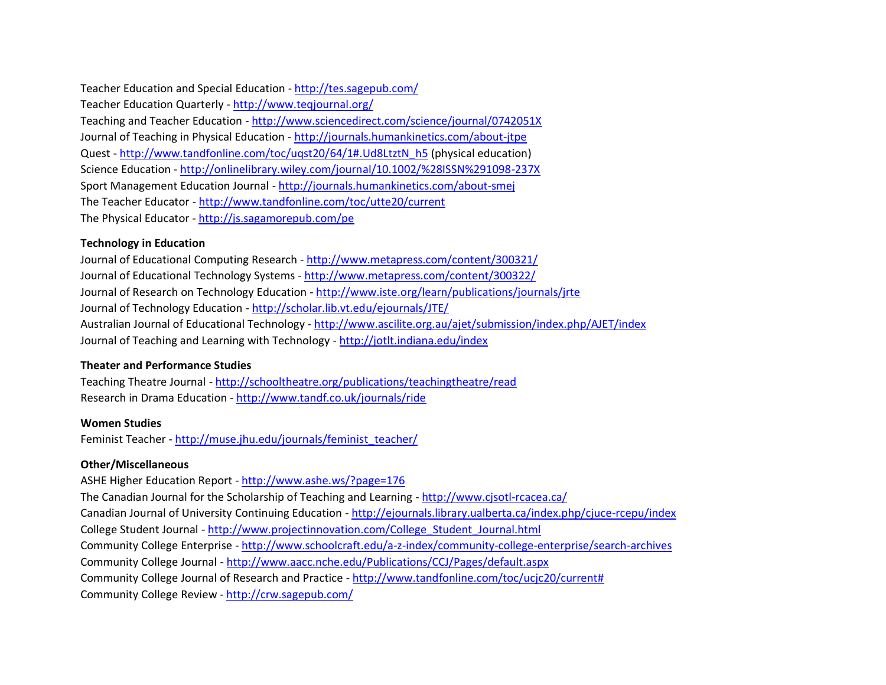Teacher Education and Special Education - <http://tes.sagepub.com/>

Teacher Education Quarterly - <http://www.teqjournal.org/> Teaching and Teacher Education - <http://www.sciencedirect.com/science/journal/0742051X> Journal of Teaching in Physical Education - <http://journals.humankinetics.com/about-jtpe> Quest - [http://www.tandfonline.com/toc/uqst20/64/1#.Ud8LtztN\\_h5](http://www.tandfonline.com/toc/uqst20/64/1#.Ud8LtztN_h5) (physical education) Science Education - <http://onlinelibrary.wiley.com/journal/10.1002/%28ISSN%291098-237X> Sport Management Education Journal - <http://journals.humankinetics.com/about-smej> The Teacher Educator - <http://www.tandfonline.com/toc/utte20/current> The Physical Educator - <http://js.sagamorepub.com/pe>

## **Technology in Education**

Journal of Educational Computing Research - <http://www.metapress.com/content/300321/> Journal of Educational Technology Systems - <http://www.metapress.com/content/300322/> Journal of Research on Technology Education - <http://www.iste.org/learn/publications/journals/jrte> Journal of Technology Education - <http://scholar.lib.vt.edu/ejournals/JTE/> Australian Journal of Educational Technology - <http://www.ascilite.org.au/ajet/submission/index.php/AJET/index> Journal of Teaching and Learning with Technology - <http://jotlt.indiana.edu/index>

## **Theater and Performance Studies**

Teaching Theatre Journal - <http://schooltheatre.org/publications/teachingtheatre/read> Research in Drama Education - <http://www.tandf.co.uk/journals/ride>

## **Women Studies**

Feminist Teacher - [http://muse.jhu.edu/journals/feminist\\_teacher/](http://muse.jhu.edu/journals/feminist_teacher/)

## **Other/Miscellaneous**

ASHE Higher Education Report - <http://www.ashe.ws/?page=176> The Canadian Journal for the Scholarship of Teaching and Learning - <http://www.cjsotl-rcacea.ca/> Canadian Journal of University Continuing Education - <http://ejournals.library.ualberta.ca/index.php/cjuce-rcepu/index> College Student Journal - [http://www.projectinnovation.com/College\\_Student\\_Journal.html](http://www.projectinnovation.com/College_Student_Journal.html) Community College Enterprise - <http://www.schoolcraft.edu/a-z-index/community-college-enterprise/search-archives> Community College Journal - <http://www.aacc.nche.edu/Publications/CCJ/Pages/default.aspx> Community College Journal of Research and Practice - [http://www.tandfonline.com/toc/ucjc20/current#](http://www.tandfonline.com/toc/ucjc20/current) Community College Review - <http://crw.sagepub.com/>